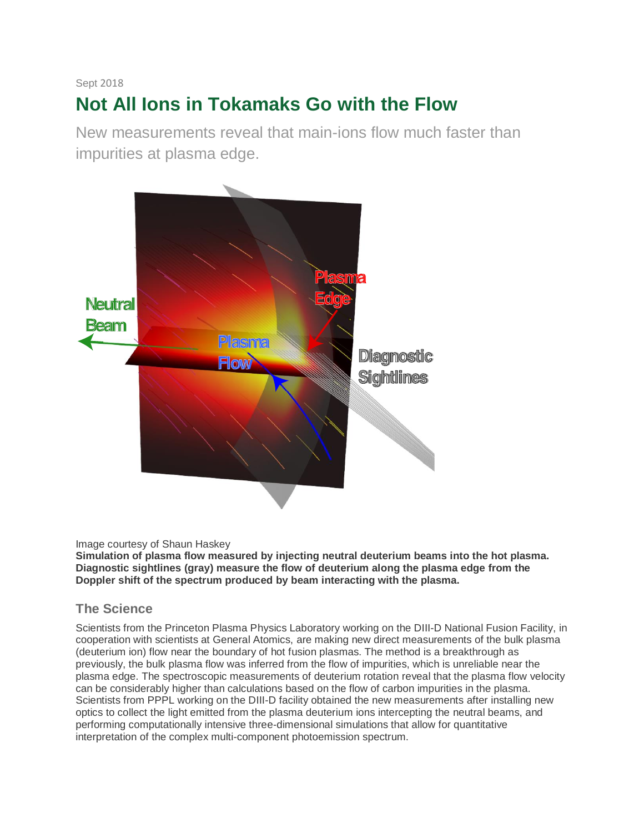#### Sept 2018

# **Not All Ions in Tokamaks Go with the Flow**

New measurements reveal that main-ions flow much faster than impurities at plasma edge.



#### Image courtesy of Shaun Haskey

**Simulation of plasma flow measured by injecting neutral deuterium beams into the hot plasma. Diagnostic sightlines (gray) measure the flow of deuterium along the plasma edge from the Doppler shift of the spectrum produced by beam interacting with the plasma.** 

#### **The Science**

Scientists from the Princeton Plasma Physics Laboratory working on the DIII-D National Fusion Facility, in cooperation with scientists at General Atomics, are making new direct measurements of the bulk plasma (deuterium ion) flow near the boundary of hot fusion plasmas. The method is a breakthrough as previously, the bulk plasma flow was inferred from the flow of impurities, which is unreliable near the plasma edge. The spectroscopic measurements of deuterium rotation reveal that the plasma flow velocity can be considerably higher than calculations based on the flow of carbon impurities in the plasma. Scientists from PPPL working on the DIII-D facility obtained the new measurements after installing new optics to collect the light emitted from the plasma deuterium ions intercepting the neutral beams, and performing computationally intensive three-dimensional simulations that allow for quantitative interpretation of the complex multi-component photoemission spectrum.